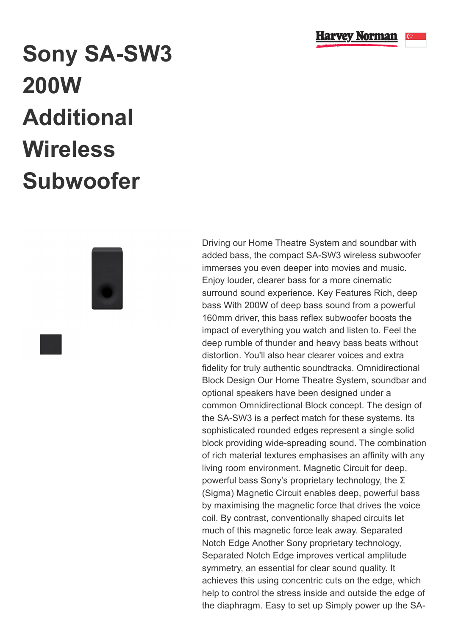

## **Sony SA-SW3 200W Additional Wireless Subwoofer**



Driving our Home Theatre System and soundbar with added bass, the compact SA-SW3 wireless subwoofer immerses you even deeper into movies and music. Enjoy louder, clearer bass for a more cinematic surround sound experience. Key Features Rich, deep bass With 200W of deep bass sound from a powerful 160mm driver, this bass reflex subwoofer boosts the impact of everything you watch and listen to. Feel the deep rumble of thunder and heavy bass beats without distortion. You'll also hear clearer voices and extra fidelity for truly authentic soundtracks. Omnidirectional Block Design Our Home Theatre System, soundbar and optional speakers have been designed under a common Omnidirectional Block concept. The design of the SA-SW3 is a perfect match for these systems. Its sophisticated rounded edges represent a single solid block providing wide-spreading sound. The combination of rich material textures emphasises an affinity with any living room environment. Magnetic Circuit for deep, powerful bass Sony's proprietary technology, the Σ (Sigma) Magnetic Circuit enables deep, powerful bass by maximising the magnetic force that drives the voice coil. By contrast, conventionally shaped circuits let much of this magnetic force leak away. Separated Notch Edge Another Sony proprietary technology, Separated Notch Edge improves vertical amplitude symmetry, an essential for clear sound quality. It achieves this using concentric cuts on the edge, which help to control the stress inside and outside the edge of the diaphragm. Easy to set up Simply power up the SA-